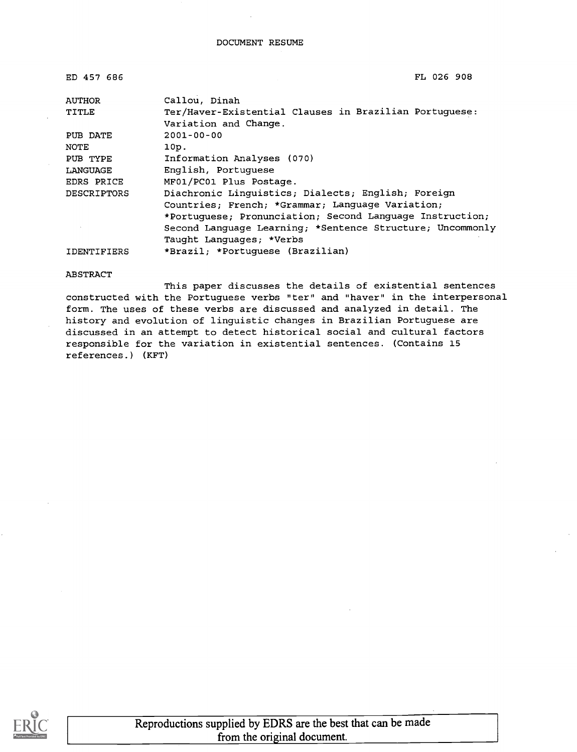| ED 457 686         | FL 026 908                                                |  |  |  |
|--------------------|-----------------------------------------------------------|--|--|--|
| AUTHOR             | Callou, Dinah                                             |  |  |  |
| TITLE              | Ter/Haver-Existential Clauses in Brazilian Portuguese:    |  |  |  |
|                    | Variation and Change.                                     |  |  |  |
| PUB DATE           | $2001 - 00 - 00$                                          |  |  |  |
| NOTE               | 10p.                                                      |  |  |  |
| PUB TYPE           | Information Analyses (070)                                |  |  |  |
| LANGUAGE           | English, Portuquese                                       |  |  |  |
| EDRS PRICE         | MF01/PC01 Plus Postage.                                   |  |  |  |
| DESCRIPTORS        | Diachronic Linguistics; Dialects; English; Foreign        |  |  |  |
|                    | Countries; French; *Grammar; Language Variation;          |  |  |  |
|                    | *Portuguese; Pronunciation; Second Language Instruction;  |  |  |  |
|                    | Second Language Learning; *Sentence Structure; Uncommonly |  |  |  |
|                    | Taught Languages; *Verbs                                  |  |  |  |
| <b>IDENTIFIERS</b> | *Brazil; *Portuguese (Brazilian)                          |  |  |  |

#### ABSTRACT

This paper discusses the details of existential sentences constructed with the Portuguese verbs "ter" and "haver" in the interpersonal form. The uses of these verbs are discussed and analyzed in detail. The history and evolution of linguistic changes in Brazilian Portuguese are discussed in an attempt to detect historical social and cultural factors responsible for the variation in existential sentences. (Contains 15 references.) (KFT)

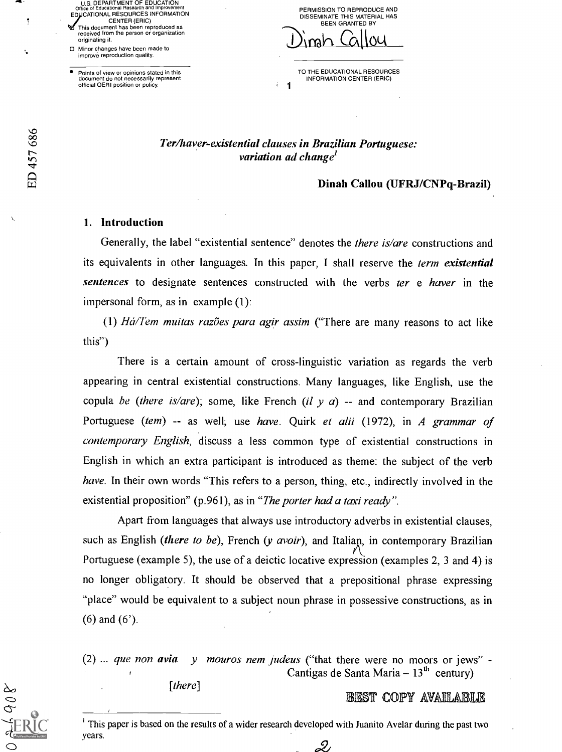U.S. DEPARTMENT OF EDUCATION<br>Office of Educational Research and Improvement Office of Educational Research and Improvement<br>EDUCATIONAL RESOURCES INFORMATION CENTER (ERIC) This document has been reproduced as received from the person or organization

originating it. 0 Minor changes have been made to improve reproduction quality.

Points of view or opinions stated in this document do not necessarily represent official OERI position or policy.

PERMISSION TO REPRODUCE AND DISSEMINATE THIS MATERIAL HAS BEEN GRANTED BY

<u>Dingh Callou</u>

<sup>1</sup> TO THE EDUCATIONAL RESOURCES INFORMATION CENTER (ERIC)

## Ter/haver-existential clauses in Brazilian Portuguese: variation ad change<sup>l</sup>

#### Dinah Callou (UFRJ/CNPq-Brazil)

#### 1. Introduction

Generally, the label "existential sentence" denotes the *there is/are* constructions and its equivalents in other languages. In this paper, I shall reserve the term existential sentences to designate sentences constructed with the verbs ter e haver in the impersonal form, as in example (1):

(1)  $H\acute{a}/Tem$  muitas razões para agir assim ("There are many reasons to act like this")

There is a certain amount of cross-linguistic variation as regards the verb appearing in central existential constructions. Many languages, like English, use the copula be (there is/are); some, like French (il y a) -- and contemporary Brazilian Portuguese (tem) -- as well, use have. Quirk et alii (1972), in A grammar of contemporary English, discuss a less common type of existential constructions in English in which an extra participant is introduced as theme: the subject of the verb have. In their own words "This refers to a person, thing, etc., indirectly involved in the existential proposition" (p.961), as in "The porter had a taxi ready".

Apart from languages that always use introductory adverbs in existential clauses, such as English (there to be), French (y avoir), and Italian, in contemporary Brazilian Portuguese (example 5), the use of a deictic locative expression (examples 2, 3 and 4) is no longer obligatory. It should be observed that a prepositional phrase expressing "place" would be equivalent to a subject noun phrase in possessive constructions, as in (6) and (6').

(2) ... que non avia  $y$  mouros nem judeus ("that there were no moors or jews" -Cantigas de Santa Maria  $-13<sup>th</sup>$  century)

[there]

#### BEST COPY AVAILABLE

<sup>1</sup> This paper is based on the results of a wider research developed with Juanito Avelar during the past two years.

2

f

ŕ.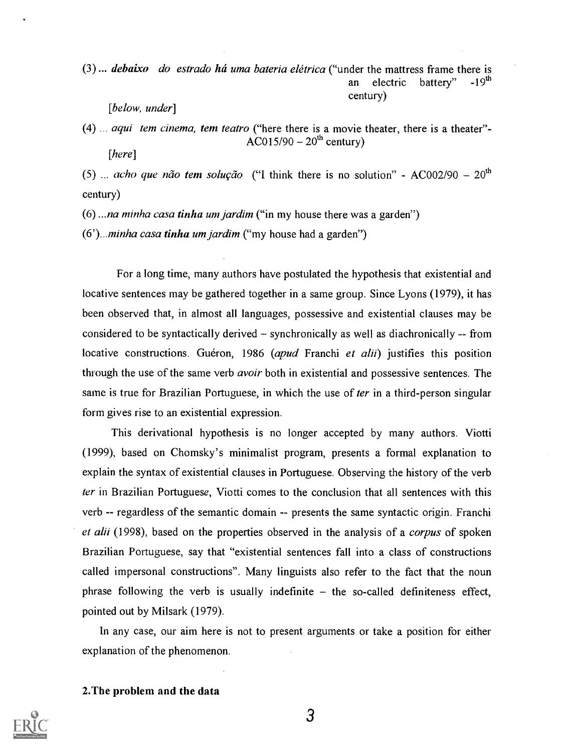(3) ... *debaixo* do estrado há uma bateria elétrica ("under the mattress frame there is an electric hattery" -19<sup>th</sup> an electric battery" century)

[below, under]

 $(4)$  ... aqui tem cinema, tem teatro ("here there is a movie theater, there is a theater"- $\angle$ AC015/90 – 20<sup>th</sup> century) [here]

(5)  $\ldots$  acho que não tem solução ("I think there is no solution" - AC002/90 – 20<sup>th</sup> century)

 $(6)$ ...*na minha casa tinha um jardim* ("in my house there was a garden")

 $(6')$ ...*minha casa tinha um jardim* ("my house had a garden")

For a long time, many authors have postulated the hypothesis that existential and locative sentences may be gathered together in a same group. Since Lyons (1979), it has been observed that, in almost all languages, possessive and existential clauses may be considered to be syntactically derived  $-$  synchronically as well as diachronically  $-$  from locative constructions. Guéron, 1986 (apud Franchi et alii) justifies this position through the use of the same verb avoir both in existential and possessive sentences. The same is true for Brazilian Portuguese, in which the use of *ter* in a third-person singular form gives rise to an existential expression.

This derivational hypothesis is no longer accepted by many authors. Viotti (1999), based on Chomsky's minimalist program, presents a formal explanation to explain the syntax of existential clauses in Portuguese. Observing the history of the verb *ter* in Brazilian Portuguese, Viotti comes to the conclusion that all sentences with this verb -- regardless of the semantic domain -- presents the same syntactic origin. Franchi et alii (1998), based on the properties observed in the analysis of a *corpus* of spoken Brazilian Portuguese, say that "existential sentences fall into a class of constructions called impersonal constructions". Many linguists also refer to the fact that the noun phrase following the verb is usually indefinite  $-$  the so-called definiteness effect, pointed out by Milsark (1979).

In any case, our aim here is not to present arguments or take a position for either explanation of the phenomenon.

#### 2.The problem and the data

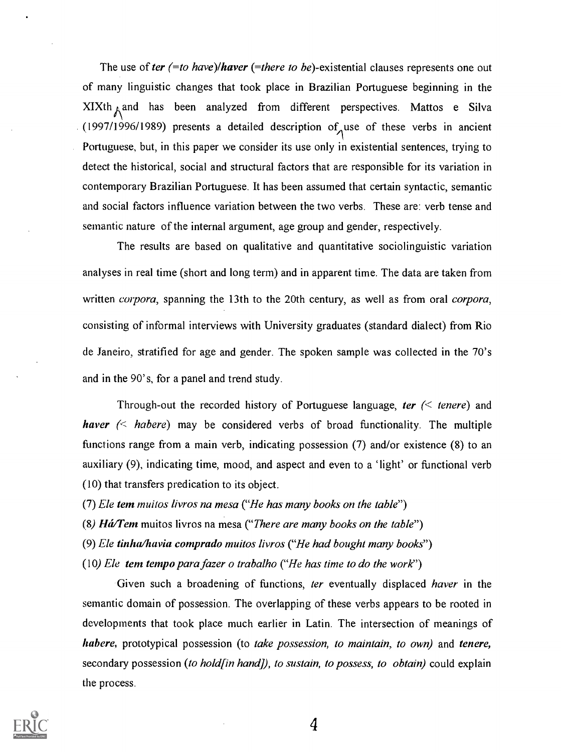The use of ter  $(=to have)/haver$  (=there to be)-existential clauses represents one out of many linguistic changes that took place in Brazilian Portuguese beginning in the  $XIXth_A$  and has been analyzed from different perspectives. Mattos e Silva (1997/1996/1989) presents a detailed description of use of these verbs in ancient Portuguese, but, in this paper we consider its use only in existential sentences, trying to detect the historical, social and structural factors that are responsible for its variation in contemporary Brazilian Portuguese. It has been assumed that certain syntactic, semantic and social factors influence variation between the two verbs. These are: verb tense and semantic nature of the internal argument, age group and gender, respectively.

The results are based on qualitative and quantitative sociolinguistic variation analyses in real time (short and long term) and in apparent time. The data are taken from written *corpora*, spanning the 13th to the 20th century, as well as from oral *corpora*, consisting of informal interviews with University graduates (standard dialect) from Rio de Janeiro, stratified for age and gender. The spoken sample was collected in the 70's and in the 90's, for a panel and trend study.

Through-out the recorded history of Portuguese language, ter  $\ll$  tenere) and haver  $\ll$  habere) may be considered verbs of broad functionality. The multiple functions range from a main verb, indicating possession (7) and/or existence (8) to an auxiliary (9), indicating time, mood, and aspect and even to a 'light' or functional verb (10) that transfers predication to its object.

(7) Ele tem muilos livros na mesa ("He has many books on the table")

(8)  $H\acute{a}Tem$  muitos livros na mesa ("There are many books on the table")

(9) Ele tinha/havia comprado muitos livros ("He had bought many books")

(10) Ele tem tempo para fazer o trabalho ("He has time to do the work")

Given such a broadening of functions, ter eventually displaced haver in the semantic domain of possession. The overlapping of these verbs appears to be rooted in developments that took place much earlier in Latin. The intersection of meanings of habere, prototypical possession (to take possession, to maintain, to own) and tenere, secondary possession (to hold [in hand]), to sustain, to possess, to obtain) could explain the process.

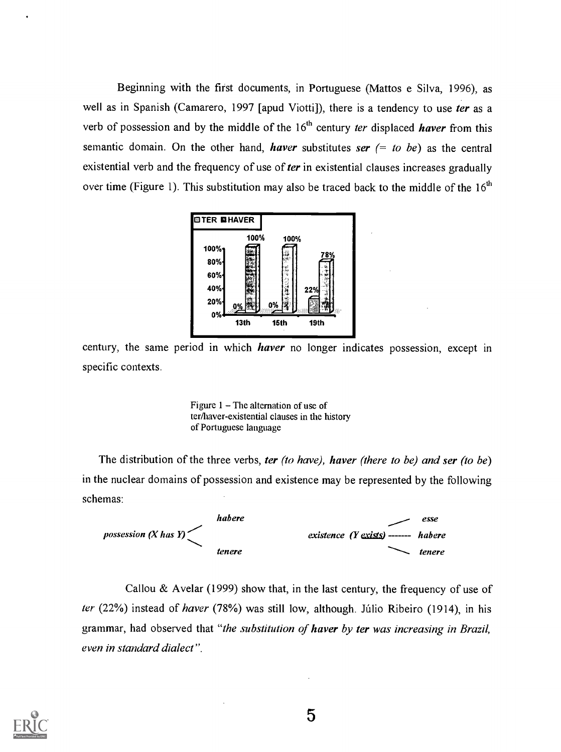Beginning with the first documents, in Portuguese (Mattos e Silva, 1996), as well as in Spanish (Camarero, 1997 [apud Viotti]), there is a tendency to use ter as a verb of possession and by the middle of the  $16<sup>th</sup>$  century ter displaced haver from this semantic domain. On the other hand, *haver* substitutes ser  $(= to be)$  as the central existential verb and the frequency of use of ter in existential clauses increases gradually over time (Figure 1). This substitution may also be traced back to the middle of the  $16<sup>th</sup>$ 



century, the same period in which *haver* no longer indicates possession, except in specific contexts.

Figure  $1 -$ The alternation of use of ter/haver-existential clauses in the history of Portuguese language

The distribution of the three verbs, ter (to have), haver (there to be) and ser (to be) in the nuclear domains of possession and existence may be represented by the following schemas:



Callou & Avelar (1999) show that, in the last century, the frequency of use of ter (22%) instead of haver (78%) was still low, although. Júlio Ribeiro (1914), in his grammar, had observed that "the substitution of haver by ter was increasing in Brazil, even in standard dialect" .

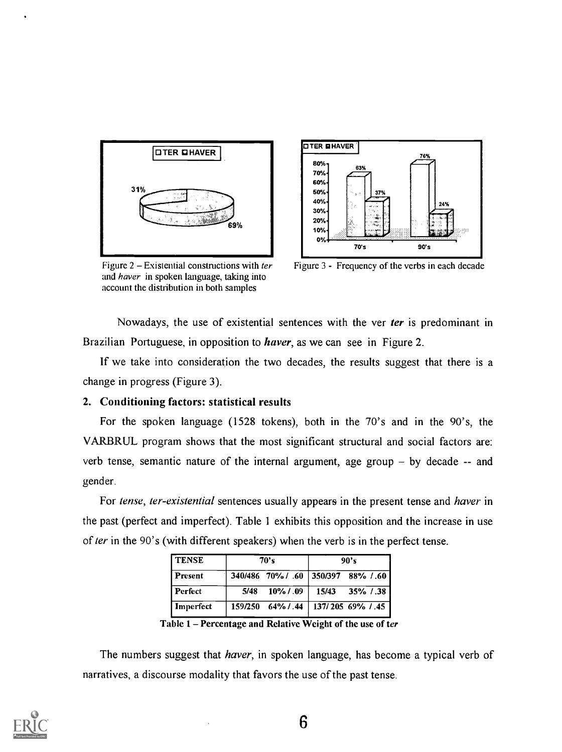

**OTER OHAVER** 80% 70%. 60%. 50%. 40%. 30%. 20%. 10%. 0%<del>| </del> 63% 76% 24% 70's 90's

Figure  $2$  – Existential constructions with ter and haver in spoken language, taking into account the distribution in both samples

Figure 3 - Frequency of the verbs in each decade

Nowadays, the use of existential sentences with the ver ter is predominant in Brazilian Portuguese, in opposition to *haver*, as we can see in Figure 2.

If we take into consideration the two decades, the results suggest that there is a change in progress (Figure 3).

## 2. Conditioning factors: statistical results

For the spoken language (1528 tokens), both in the 70's and in the 90's, the VARBRUL program shows that the most significant structural and social factors are: verb tense, semantic nature of the internal argument, age group  $-$  by decade  $-$  and gender.

For tense, ter-existential sentences usually appears in the present tense and haver in the past (perfect and imperfect). Table 1 exhibits this opposition and the increase in use of ter in the 90's (with different speakers) when the verb is in the perfect tense.

| l tense   | 70's |                                       | 90's |                                     |
|-----------|------|---------------------------------------|------|-------------------------------------|
| l Present |      |                                       |      | 340/486 70% / .60 350/397 88% / .60 |
| l Perfect | 5/48 |                                       |      | $10\%$ / .09   15/43 35% / .38      |
| Imperfect |      | 159/250 64% / .44   137/205 69% / .45 |      |                                     |

Table 1 – Percentage and Relative Weight of the use of ter

The numbers suggest that *haver*, in spoken language, has become a typical verb of narratives, a discourse modality that favors the use of the past tense.

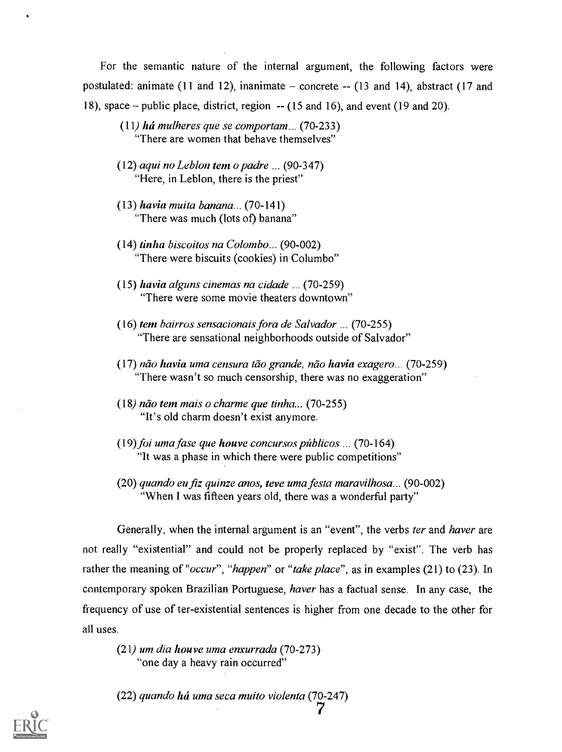For the semantic nature of the internal argument, the following factors were postulated: animate  $(11$  and  $12)$ , inanimate  $-$  concrete  $(13$  and  $14)$ , abstract  $(17$  and 18), space – public place, district, region  $-$  (15 and 16), and event (19 and 20).

- (11) há mulheres que se comportam... (70-233) "There are women that behave themselves"
- $(12)$  aqui no Leblon tem o padre ...  $(90-347)$ "Here, in Leblon, there is the priest"
- $(13)$  havia muita banana...  $(70-141)$ "There was much (lots of) banana"
- (14) tinha biscoitos na Colombo... (90-002) "There were biscuits (cookies) in Columbo"
- (15) havia alguns cinemas na cidade ... (70-259) "There were some movie theaters downtown"
- (16) tem bairros sensacionais fora de Salvador ... (70-255) "There are sensational neighborhoods outside of Salvador"
- $(17)$  não havia uma censura tão grande, não havia exagero... (70-259) "There wasn't so much censorship, there was no exaggeration"
- $(18)$  não tem mais o charme que tinha... (70-255) "It's old charm doesn't exist anymore.
- $(19)$  foi uma fase que houve concursos públicos ... (70-164). "It was a phase in which there were public competitions"
- (20) quando eu fiz quinze anos, teve uma festa maravilhosa... (90-002) "When I was fifteen years old, there was a wonderful party"

Generally, when the internal argument is an "event", the verbs *ter* and *haver* are not really "existential" and could not be properly replaced by "exist". The verb has rather the meaning of "occur", "happen" or "take place", as in examples (21) to (23). In contemporary spoken Brazilian Portuguese, *haver* has a factual sense. In any case, the frequency of use of ter-existential sentences is higher from one decade to the other for all uses.

 $(21)$  um dia houve uma enxurrada (70-273) "one day a heavy rain occurred"

 $(22)$  quando há uma seca muito violenta (70-247) 7

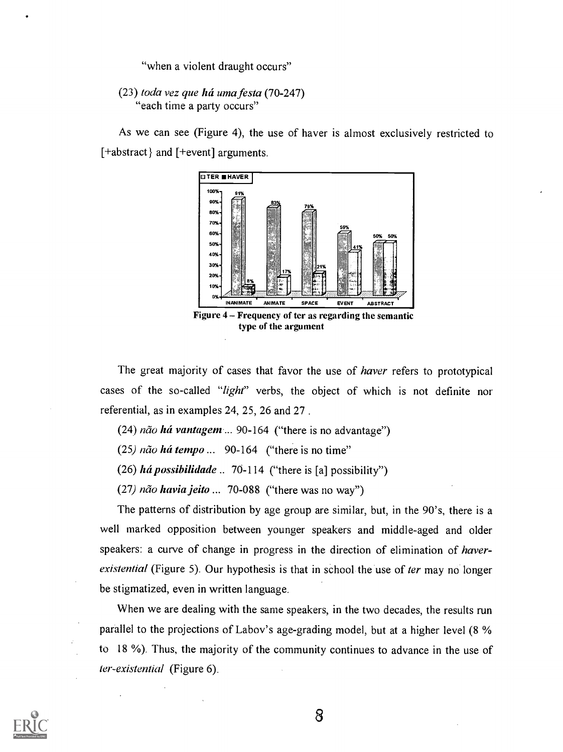"when a violent draught occurs"

## $(23)$  toda vez que há uma festa  $(70-247)$ "each time a party occurs"

As we can see (Figure 4), the use of haver is almost exclusively restricted to [+abstract} and [+event] arguments.



The great majority of cases that favor the use of *haver* refers to prototypical cases of the so-called "light" verbs, the object of which is not definite nor referential, as in examples 24, 25, 26 and 27 .

(24)  $n\tilde{a}$  *ha vantagem* ... 90-164 ("there is no advantage")

 $(25)$  não há tempo ... 90-164 ("there is no time"

(26) há possibilidade  $\ldots$  70-114 ("there is [a] possibility")

(27)  $n\tilde{a}$  *havia jeito* ... 70-088 ("there was no way")

The patterns of distribution by age group are similar, but, in the 90's, there is a well marked opposition between younger speakers and middle-aged and older speakers: a curve of change in progress in the direction of elimination of haverexistential (Figure 5). Our hypothesis is that in school the use of ter may no longer be stigmatized, even in written language.

When we are dealing with the same speakers, in the two decades, the results run parallel to the projections of Labov's age-grading model, but at a higher level (8 % to 18 %). Thus, the majority of the community continues to advance in the use of ter-existential (Figure 6).

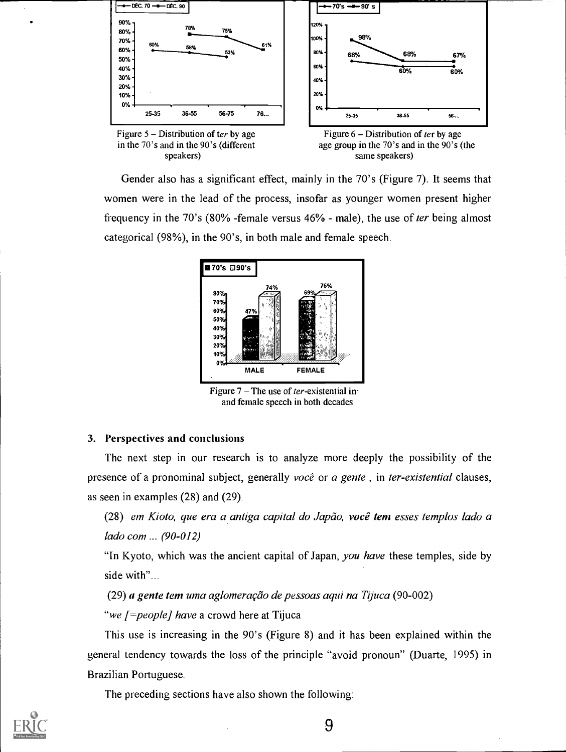

Gender also has a significant effect, mainly in the 70's (Figure 7). It seems that women were in the lead of the process, insofar as younger women present higher frequency in the 70's (80% -female versus 46% - male), the use of ter being almost categorical (98%), in the 90's, in both male and female speech.



Figure  $7 -$ The use of *ter*-existential in. and female speech in both decades

## 3. Perspectives and conclusions

The next step in our research is to analyze more deeply the possibility of the presence of a pronominal subject, generally você or a gente, in ter-existential clauses, as seen in examples (28) and (29).

 $(28)$  em Kioto, que era a antiga capital do Japão, você tem esses templos lado a lado com ... (90-012)

"In Kyoto, which was the ancient capital of Japan, you have these temples, side by side with"...

 $(29)$  a gente tem uma aglomeração de pessoas aqui na Tijuca (90-002)

"we [=people] have a crowd here at Tijuca

This use is increasing in the 90's (Figure 8) and it has been explained within the general tendency towards the loss of the principle "avoid pronoun" (Duarte, 1995) in Brazilian Portuguese.

The preceding sections have also shown the following:

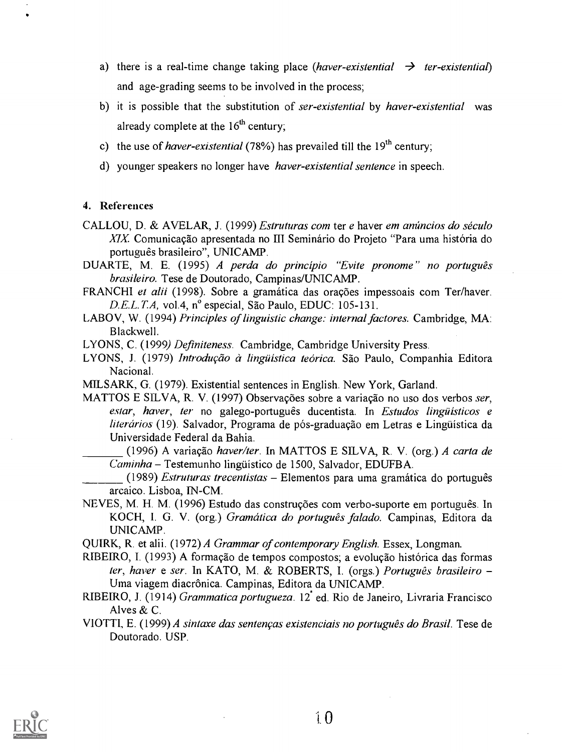- a) there is a real-time change taking place (haver-existential  $\rightarrow$  ter-existential) and age-grading seems to be involved in the process;
- b) it is possible that the substitution of ser-existential by haver-existential was already complete at the  $16<sup>th</sup>$  century;
- c) the use of *haver-existential* (78%) has prevailed till the  $19<sup>th</sup>$  century;
- d) younger speakers no longer have *haver-existential sentence* in speech.

## 4. References

- CALLOU, D. & AVELAR, J. (1999) *Estruturas com ter e haver em anúncios do século*  $XIX$ . Comunicação apresentada no III Seminário do Projeto "Para uma história do português brasileiro", UNICAMP.
- DUARTE, M. E. (1995) A perda do princípio "Evite pronome" no português brasileiro. Tese de Doutorado, Campinas/UNICAMP.
- FRANCHI et alii (1998). Sobre a gramática das orações impessoais com Ter/haver. D.E.L.T.A, vol.4, n° especial, São Paulo, EDUC: 105-131.
- LABOV, W. (1994) Principles of linguistic change: internal factores. Cambridge, MA: Blackwell.

LYONS, C. (1999) Definiteness. Cambridge, Cambridge University Press.

- LYONS, J. (1979) Introdução à lingüística teórica. São Paulo, Companhia Editora Nacional.
- MILSARK, G. (1979). Existential sentences in English. New York, Garland.
- MATTOS E SILVA, R. V. (1997) Observações sobre a variação no uso dos verbos ser, estar, haver, ter no galego-português ducentista. In Estudos lingüísticos e literários (19). Salvador, Programa de pós-graduação em Letras e Lingüística da Universidade Federal da Bahia.

(1996) A variação haver/ter. In MATTOS E SILVA, R. V. (org.) A carta de  $Caminha - Testemunho lingüístico de 1500, Salvador, EDUFBA.$ 

(1989) Estruturas trecentistas  $-$  Elementos para uma gramática do português arcaico. Lisboa, IN-CM.

NEVES, M. H. M. (1996) Estudo das construções com verbo-suporte em português. In KOCH, I. G. V. (org.) Gramática do português falado. Campinas, Editora da UNICAMP.

QUIRK, R. et alii. (1972) A Grammar of contemporary English. Essex, Longman.

RIBEIRO, I. (1993) A formação de tempos compostos; a evolução histórica das formas ter, haver e ser. In KATO, M. & ROBERTS, I. (orgs.) Português brasileiro -Uma viagem diacrônica. Campinas, Editora da UNICAMP.

- RIBEtRO, J. (1914) Grammatica portugueza. 12 ed. Rio de Janeiro, Livraria Francisco Alves & C.
- VIOTTI, E. (1999) A sintaxe das sentenças existenciais no português do Brasil. Tese de Doutorado. USP.

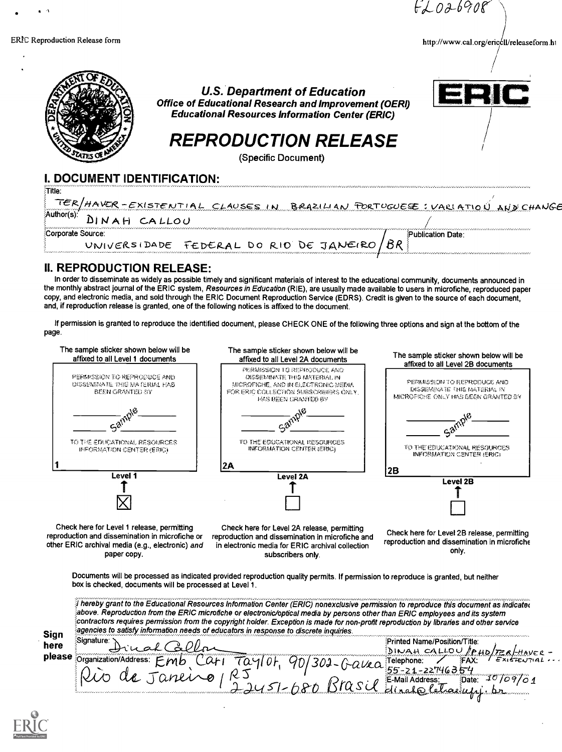$FLOA-690R$ 

http://www.cal.org/ericcll/releaseform.ht



## II. REPRODUCTION RELEASE:

In order to disseminate as widely as possible timely and significant materials of interest to the educational community, documents announced in the monthly abstract journal of the ERIC system, Resources in Education (RIE), are usually made available to users in microfiche, reproduced paper copy, and electronic media, and sold through the ERIC Document Reproduction Service (EDRS). Credit is given to the source of each document, and, if reproduction release is granted, one of the following notices is affixed to the document.

If permission is granted to reproduce the identified document, please CHECK ONE of the following three options and sign at the bottom of the page.



Check here for Level 1 release, permitting reproduction and dissemination in microfiche or other ERIC archival media (e.g., electronic) and paper copy.

Check here for Level 2A release, permitting reproduction and dissemination in microfiche and in electronic media for ERIC archival collection subscribers only.

Check here for Level 28 release, permitting reproduction and dissemination in microfiche only.

Documents will be processed as indicated provided reproduction quality permits. If permission to reproduce is granted, but neither box is checked, documents will be processed at Level 1.

Sign Signature: here please **Croanization** hereby grant to the Educational Resources Information Center (ERIC) nonexclusive permission to reproduce this document as indicate(  $\tilde{s}$ above. Reproduction from the ERIC microfiche or electronic/optical media by persons other than ERIC employees and its system ontractors requires permission from the copyfight holder. Exception is made for non-profit reproduction by libraries and other service agencies to satisfy information needs of educators in response to discrete inquiries. . . . ... . Signature:.1.1 Printed Name/Position/Title: . Signature: Lical Callor<br>Organization/Address: Emb Cati Taylor, 90/300-Galla Felephone: / FAX: FRIFENTIAL:..<br>Quo de Janline / RJ (2000-01-Mail Address: Date: 10/09/01  $122451-680$  BICSU dirato letacupjibr